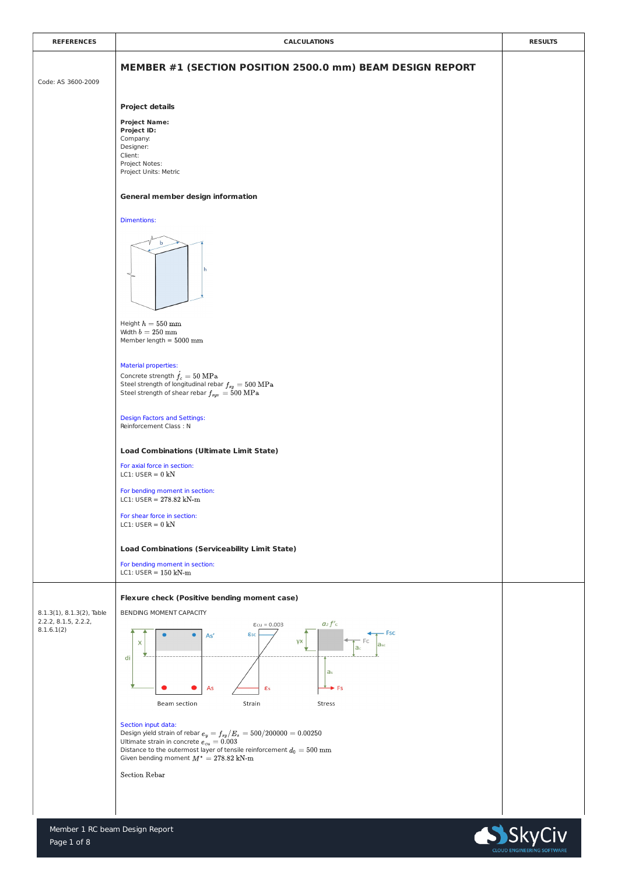

| <b>REFERENCES</b>  | <b>CALCULATIONS</b>                                                                                                                                                                                            | <b>RESULTS</b> |
|--------------------|----------------------------------------------------------------------------------------------------------------------------------------------------------------------------------------------------------------|----------------|
| Code: AS 3600-2009 | MEMBER #1 (SECTION POSITION 2500.0 mm) BEAM DESIGN REPORT                                                                                                                                                      |                |
|                    | <b>Project details</b>                                                                                                                                                                                         |                |
|                    | <b>Project Name:</b><br><b>Project ID:</b><br>Company:<br>Designer:<br>Client:<br>Project Notes:<br>Project Units: Metric                                                                                      |                |
|                    | <b>General member design information</b>                                                                                                                                                                       |                |
|                    | <b>Dimentions:</b>                                                                                                                                                                                             |                |
|                    | $\rightarrow$ l<br><b>Contract Contract</b><br>b<br>n                                                                                                                                                          |                |
|                    | Height $h=550\;\mathrm{mm}$<br>Width $b=250$ mm<br>Member length = $5000$ mm                                                                                                                                   |                |
|                    | <b>Material properties:</b><br>Concrete strength $\acute{f}_c = 50 \text{ MPa}$<br>Steel strength of longitudinal rebar $f_{sy}=500~\mathrm{MPa}$<br>Steel strength of shear rebar $f_{syn} = 500 \text{ MPa}$ |                |

|                                                         | <b>Design Factors and Settings:</b><br>Reinforcement Class: N                                                                                                                                                                                                                      |  |
|---------------------------------------------------------|------------------------------------------------------------------------------------------------------------------------------------------------------------------------------------------------------------------------------------------------------------------------------------|--|
|                                                         | <b>Load Combinations (Ultimate Limit State)</b>                                                                                                                                                                                                                                    |  |
|                                                         | For axial force in section:<br>LC1: USER = $0$ kN                                                                                                                                                                                                                                  |  |
|                                                         | For bending moment in section:<br>LC1: USER = $278.82$ kN-m                                                                                                                                                                                                                        |  |
|                                                         | For shear force in section:<br>LC1: USER = $0$ kN                                                                                                                                                                                                                                  |  |
|                                                         | <b>Load Combinations (Serviceability Limit State)</b>                                                                                                                                                                                                                              |  |
|                                                         | For bending moment in section:<br>LC1: USER = $150$ kN-m                                                                                                                                                                                                                           |  |
|                                                         | <b>Flexure check (Positive bending moment case)</b>                                                                                                                                                                                                                                |  |
| $8.1.3(1)$ , $8.1.3(2)$ , Table<br>2.2.2, 8.1.5, 2.2.2, | BENDING MOMENT CAPACITY                                                                                                                                                                                                                                                            |  |
| 8.1.6.1(2)                                              | $\epsilon_{\text{cu}} = 0.003$ $a_2 f'c$<br>– Fsc<br>Esc<br>As'<br>γx<br>X<br><b>asc</b><br>a <sub>c</sub><br>di<br>a <sub>s</sub><br>$\rightarrow$ Fs<br>As<br>$\epsilon$ s                                                                                                       |  |
|                                                         | <b>Beam section</b><br>Strain<br>Stress                                                                                                                                                                                                                                            |  |
|                                                         | Section input data:<br>Design yield strain of rebar $e_y = f_{sy}/E_s = 500/200000 = 0.00250$<br>Ultimate strain in concrete $e_{cu} = 0.003$<br>Distance to the outermost layer of tensile reinforcement $d_0 = 500 \:\rm mm$<br>Given bending moment $M^* = 278.82 \text{ kN-m}$ |  |
|                                                         | <b>Section Rebar</b>                                                                                                                                                                                                                                                               |  |

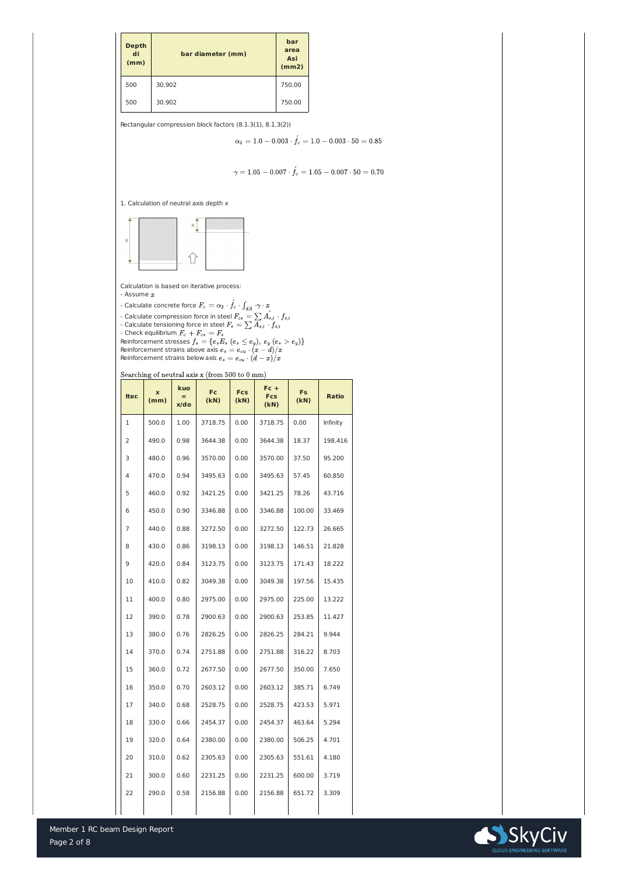

| <b>Depth</b><br>di<br>(mm) | bar diameter (mm) | bar<br>area<br><b>Asi</b><br>(mm2) |
|----------------------------|-------------------|------------------------------------|
| 500                        | 30.902            | 750.00                             |
| 500                        | 30.902            | 750.00                             |

Rectangular compression block factors (8.1.3(1), 8.1.3(2))

$$
\alpha_2 = 1.0 - 0.003 \cdot \acute{f_c} = 1.0 - 0.003 \cdot 50 = 0.85
$$

$$
\gamma=1.05-0.007\cdot \acute{f}_c=1.05-0.007\cdot 50=0.70
$$

1. Calculation of neutral axis depth x



Calculation is based on iterative process:

- Assume  $x$ 

- Calculate concrete force

- Calculate compression force in steel
- Calculate tensioning force in steel
- Check equilibrium
- Reinforcement stresses Reinforcement strains above axis Reinforcement strains below axis

Searching of neutral axis x (from 500 to 0 mm)

| Iter.          | $\mathbf{x}$<br>(mm) | kuo<br>$=$<br>x/do | <b>Fc</b><br>(KN) | <b>Fcs</b><br>(kN) | $Fc +$<br><b>Fcs</b><br>(KN) | <b>Fs</b><br>(KN) | <b>Ratio</b> |
|----------------|----------------------|--------------------|-------------------|--------------------|------------------------------|-------------------|--------------|
| $\mathbf{1}$   | 500.0                | 1.00               | 3718.75           | 0.00               | 3718.75                      | 0.00              | Infinity     |
| 2              | 490.0                | 0.98               | 3644.38           | 0.00               | 3644.38                      | 18.37             | 198.416      |
| 3              | 480.0                | 0.96               | 3570.00           | 0.00               | 3570.00                      | 37.50             | 95.200       |
| $\overline{4}$ | 470.0                | 0.94               | 3495.63           | 0.00               | 3495.63                      | 57.45             | 60.850       |
| 5              | 460.0                | 0.92               | 3421.25           | 0.00               | 3421.25                      | 78.26             | 43.716       |
| 6              | 450.0                | 0.90               | 3346.88           | 0.00               | 3346.88                      | 100.00            | 33.469       |
| $\overline{7}$ | 440.0                | 0.88               | 3272.50           | 0.00               | 3272.50                      | 122.73            | 26.665       |
| 8              | 430.0                | 0.86               | 3198.13           | 0.00               | 3198.13                      | 146.51            | 21.828       |
| 9              | 420.0                | 0.84               | 3123.75           | 0.00               | 3123.75                      | 171.43            | 18.222       |
| 10             | 410.0                | 0.82               | 3049.38           | 0.00               | 3049.38                      | 197.56            | 15.435       |
| 11             | 400.0                | 0.80               | 2975.00           | 0.00               | 2975.00                      | 225.00            | 13.222       |
| 12             | 390.0                | 0.78               | 2900.63           | 0.00               | 2900.63                      | 253.85            | 11.427       |
| 13             | 380.0                | 0.76               | 2826.25           | 0.00               | 2826.25                      | 284.21            | 9.944        |
| 14             | 370.0                | 0.74               | 2751.88           | 0.00               | 2751.88                      | 316.22            | 8.703        |
| 15             | 360.0                | 0.72               | 2677.50           | 0.00               | 2677.50                      | 350.00            | 7.650        |
| 16             | 350.0                | 0.70               | 2603.12           | 0.00               | 2603.12                      | 385.71            | 6.749        |
| 17             | 340.0                | 0.68               | 2528.75           | 0.00               | 2528.75                      | 423.53            | 5.971        |
| 18             | 330.0                | 0.66               | 2454.37           | 0.00               | 2454.37                      | 463.64            | 5.294        |
| 19             | 320.0                | 0.64               | 2380.00           | 0.00               | 2380.00                      | 506.25            | 4.701        |
| 20             | 310.0                | 0.62               | 2305.63           | 0.00               | 2305.63                      | 551.61            | 4.180        |
| 21             | 300.0                | 0.60               | 2231.25           | 0.00               | 2231.25                      | 600.00            | 3.719        |
| 22             | 290.0                | 0.58               | 2156.88           | 0.00               | 2156.88                      | 651.72            | 3.309        |

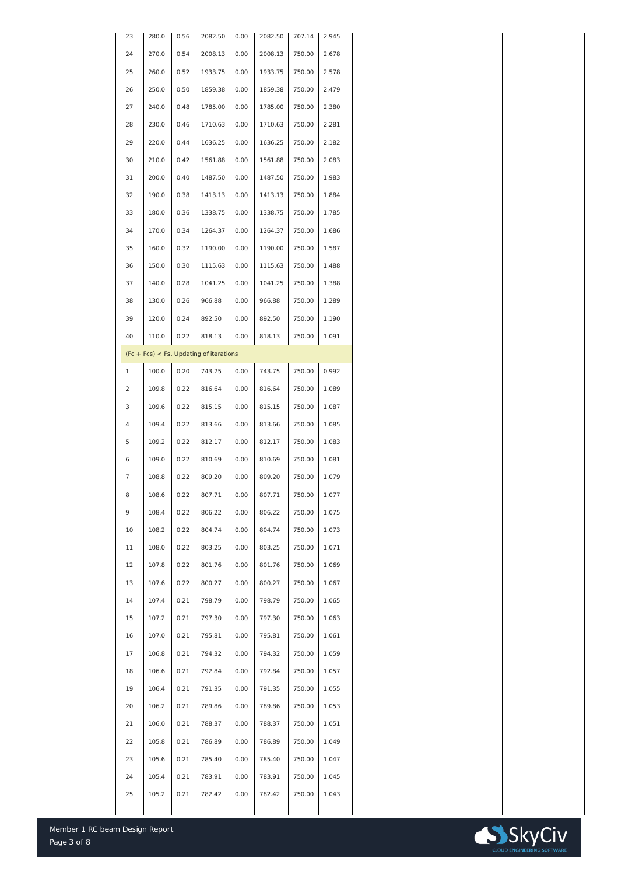

| 23             | 280.0 | 0.56 | 2082.50                                    | 0.00 | 2082.50 | 707.14 | 2.945 |
|----------------|-------|------|--------------------------------------------|------|---------|--------|-------|
| 24             | 270.0 | 0.54 | 2008.13                                    | 0.00 | 2008.13 | 750.00 | 2.678 |
| 25             | 260.0 | 0.52 | 1933.75                                    | 0.00 | 1933.75 | 750.00 | 2.578 |
| 26             | 250.0 | 0.50 | 1859.38                                    | 0.00 | 1859.38 | 750.00 | 2.479 |
| 27             | 240.0 | 0.48 | 1785.00                                    | 0.00 | 1785.00 | 750.00 | 2.380 |
| 28             | 230.0 | 0.46 | 1710.63                                    | 0.00 | 1710.63 | 750.00 | 2.281 |
| 29             | 220.0 | 0.44 | 1636.25                                    | 0.00 | 1636.25 | 750.00 | 2.182 |
| 30             | 210.0 | 0.42 | 1561.88                                    | 0.00 | 1561.88 | 750.00 | 2.083 |
| 31             | 200.0 | 0.40 | 1487.50                                    | 0.00 | 1487.50 | 750.00 | 1.983 |
| 32             | 190.0 | 0.38 | 1413.13                                    | 0.00 | 1413.13 | 750.00 | 1.884 |
| 33             | 180.0 | 0.36 | 1338.75                                    | 0.00 | 1338.75 | 750.00 | 1.785 |
| 34             | 170.0 | 0.34 | 1264.37                                    | 0.00 | 1264.37 | 750.00 | 1.686 |
| 35             | 160.0 | 0.32 | 1190.00                                    | 0.00 | 1190.00 | 750.00 | 1.587 |
| 36             | 150.0 | 0.30 | 1115.63                                    | 0.00 | 1115.63 | 750.00 | 1.488 |
| 37             | 140.0 | 0.28 | 1041.25                                    | 0.00 | 1041.25 | 750.00 | 1.388 |
| 38             | 130.0 | 0.26 | 966.88                                     | 0.00 | 966.88  | 750.00 | 1.289 |
| 39             | 120.0 | 0.24 | 892.50                                     | 0.00 | 892.50  | 750.00 | 1.190 |
| 40             | 110.0 | 0.22 | 818.13                                     | 0.00 | 818.13  | 750.00 | 1.091 |
|                |       |      | $(Fc + Fcs) < Fs$ . Updating of iterations |      |         |        |       |
| $\mathbf{1}$   | 100.0 | 0.20 | 743.75                                     | 0.00 | 743.75  | 750.00 | 0.992 |
| 2              | 109.8 | 0.22 | 816.64                                     | 0.00 | 816.64  | 750.00 | 1.089 |
| 3              | 109.6 | 0.22 | 815.15                                     | 0.00 | 815.15  | 750.00 | 1.087 |
| $\overline{4}$ | 109.4 | 0.22 | 813.66                                     | 0.00 | 813.66  | 750.00 | 1.085 |
| 5              | 109.2 | 0.22 | 812.17                                     | 0.00 | 812.17  | 750.00 | 1.083 |
| 6              | 109.0 | 0.22 | 810.69                                     | 0.00 | 810.69  | 750.00 | 1.081 |
| $\overline{7}$ | 108.8 | 0.22 | 809.20                                     | 0.00 | 809.20  | 750.00 | 1.079 |
| 8              | 108.6 | 0.22 | 807.71                                     | 0.00 | 807.71  | 750.00 | 1.077 |
| 9              | 108.4 | 0.22 | 806.22                                     | 0.00 | 806.22  | 750.00 | 1.075 |
| 10             | 108.2 | 0.22 | 804.74                                     | 0.00 | 804.74  | 750.00 | 1.073 |
| 11             | 108.0 | 0.22 | 803.25                                     | 0.00 | 803.25  | 750.00 | 1.071 |
| 12             | 107.8 | 0.22 | 801.76                                     | 0.00 | 801.76  | 750.00 | 1.069 |
| 13             | 107.6 | 0.22 | 800.27                                     | 0.00 | 800.27  | 750.00 | 1.067 |
| 14             | 107.4 | 0.21 | 798.79                                     | 0.00 | 798.79  | 750.00 | 1.065 |
| 15             | 107.2 | 0.21 | 797.30                                     | 0.00 | 797.30  | 750.00 | 1.063 |
| 16             | 107.0 | 0.21 | 795.81                                     | 0.00 | 795.81  | 750.00 | 1.061 |
| 17             | 106.8 | 0.21 | 794.32                                     | 0.00 | 794.32  | 750.00 | 1.059 |
| 18             | 106.6 | 0.21 | 792.84                                     | 0.00 | 792.84  | 750.00 | 1.057 |
| 19             | 106.4 | 0.21 | 791.35                                     | 0.00 | 791.35  | 750.00 | 1.055 |
| 20             | 106.2 | 0.21 | 789.86                                     | 0.00 | 789.86  | 750.00 | 1.053 |
| 21             | 106.0 | 0.21 | 788.37                                     | 0.00 | 788.37  | 750.00 | 1.051 |
| 22             | 105.8 | 0.21 | 786.89                                     | 0.00 | 786.89  | 750.00 | 1.049 |
| 23             | 105.6 | 0.21 | 785.40                                     | 0.00 | 785.40  | 750.00 | 1.047 |
| 24             | 105.4 | 0.21 | 783.91                                     | 0.00 | 783.91  | 750.00 | 1.045 |
| 25             | 105.2 | 0.21 | 782.42                                     | 0.00 | 782.42  | 750.00 | 1.043 |
|                |       |      |                                            |      |         |        |       |

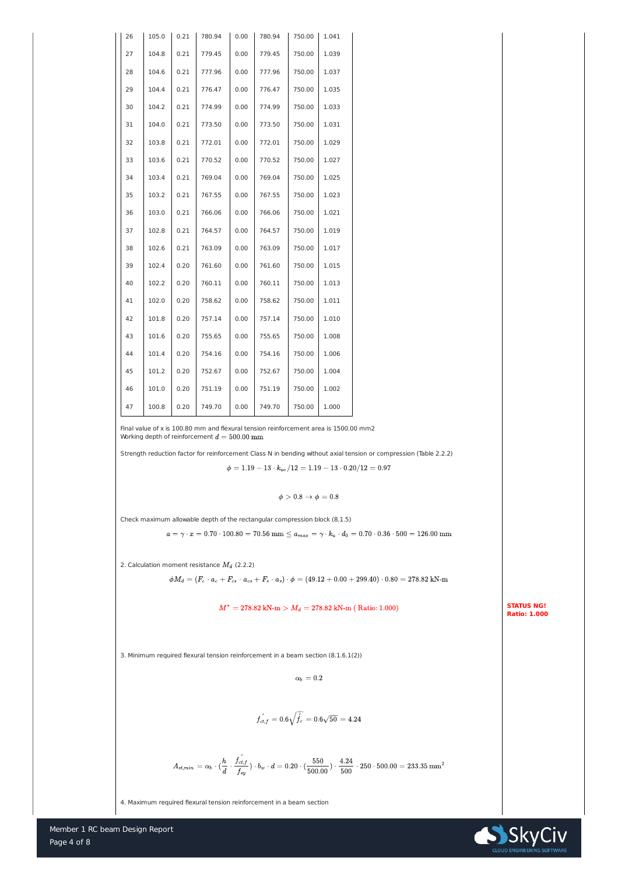

| 26 | 105.0 | 0.21 | 780.94 | 0.00 | 780.94 | 750.00 | 1.041 |
|----|-------|------|--------|------|--------|--------|-------|
| 27 | 104.8 | 0.21 | 779.45 | 0.00 | 779.45 | 750.00 | 1.039 |
| 28 | 104.6 | 0.21 | 777.96 | 0.00 | 777.96 | 750.00 | 1.037 |
| 29 | 104.4 | 0.21 | 776.47 | 0.00 | 776.47 | 750.00 | 1.035 |
| 30 | 104.2 | 0.21 | 774.99 | 0.00 | 774.99 | 750.00 | 1.033 |
| 31 | 104.0 | 0.21 | 773.50 | 0.00 | 773.50 | 750.00 | 1.031 |
| 32 | 103.8 | 0.21 | 772.01 | 0.00 | 772.01 | 750.00 | 1.029 |
| 33 | 103.6 | 0.21 | 770.52 | 0.00 | 770.52 | 750.00 | 1.027 |
| 34 | 103.4 | 0.21 | 769.04 | 0.00 | 769.04 | 750.00 | 1.025 |
| 35 | 103.2 | 0.21 | 767.55 | 0.00 | 767.55 | 750.00 | 1.023 |
| 36 | 103.0 | 0.21 | 766.06 | 0.00 | 766.06 | 750.00 | 1.021 |
| 37 | 102.8 | 0.21 | 764.57 | 0.00 | 764.57 | 750.00 | 1.019 |
| 38 | 102.6 | 0.21 | 763.09 | 0.00 | 763.09 | 750.00 | 1.017 |
| 39 | 102.4 | 0.20 | 761.60 | 0.00 | 761.60 | 750.00 | 1.015 |
| 40 | 102.2 | 0.20 | 760.11 | 0.00 | 760.11 | 750.00 | 1.013 |
| 41 | 102.0 | 0.20 | 758.62 | 0.00 | 758.62 | 750.00 | 1.011 |
| 42 | 101.8 | 0.20 | 757.14 | 0.00 | 757.14 | 750.00 | 1.010 |
| 43 | 101.6 | 0.20 | 755.65 | 0.00 | 755.65 | 750.00 | 1.008 |
| 44 | 101.4 | 0.20 | 754.16 | 0.00 | 754.16 | 750.00 | 1.006 |
| 45 | 101.2 | 0.20 | 752.67 | 0.00 | 752.67 | 750.00 | 1.004 |
| 46 | 101.0 | 0.20 | 751.19 | 0.00 | 751.19 | 750.00 | 1.002 |
| 47 | 100.8 | 0.20 | 749.70 | 0.00 | 749.70 | 750.00 | 1.000 |

Finally value of x is 100.80 mm and fexural tension reinforcement area is 1500.00 mm?  
\nWhich depth of reinforcement class N in bending without axial tension or compression (Table 2.2.2)  
\n
$$
\phi = 1.19 - 13 \cdot k_{\omega}/12 = 1.19 - 13 \cdot 0.20/12 = 0.97
$$
\n
$$
\phi > 0.8 \rightarrow \phi = 0.8
$$
\nCheck maximum allowable depth of the rectangular compression block (8.1.5)  
\n
$$
a = \gamma \cdot x = 0.70 \cdot 100.80 = 70.56 \text{ mm} \le a_{\text{max}} = \gamma \cdot k_a \cdot d_0 = 0.70 \cdot 0.36 \cdot 500 = 126.00 \text{ mm}
$$
\n2. Calculation moment resistance  $M_d$  (2.2.2)  
\n
$$
\phi M_d = (F_c \cdot a_{\text{c}} + F_s \cdot a_{\text{c}} + F_s \cdot a_s) \cdot \phi = (49.12 + 0.00 + 299.40) \cdot 0.80 = 278.82 \text{ kN-m}
$$
\n
$$
M^* = 278.82 \text{ kN-m} > M_d = 278.82 \text{ kN-m} \text{ (Ratio: 1.000)}
$$
\nEXAMPLE 10.100  
\n3. Minimum required flexural tension reinforcement in a beam section (8.1.6.1(2))  
\n
$$
\alpha_0 = 0.2
$$
\n
$$
f_{\alpha, f} = 0.6 \sqrt{f_L} = 0.6 \sqrt{30} = 4.24
$$
\n
$$
A_{\alpha, \text{min}} = \alpha_b \cdot (\frac{h}{d} \cdot \frac{f_{\alpha, f}}{f_{\alpha, f}}) \cdot b_w \cdot d = 0.20 \cdot (\frac{550}{500.00}) \cdot \frac{4.24}{500} \cdot 250 \cdot 500.00 = 233.35 \text{ mm}^2
$$

4. Maximum required flexural tension reinforcement in a beam section

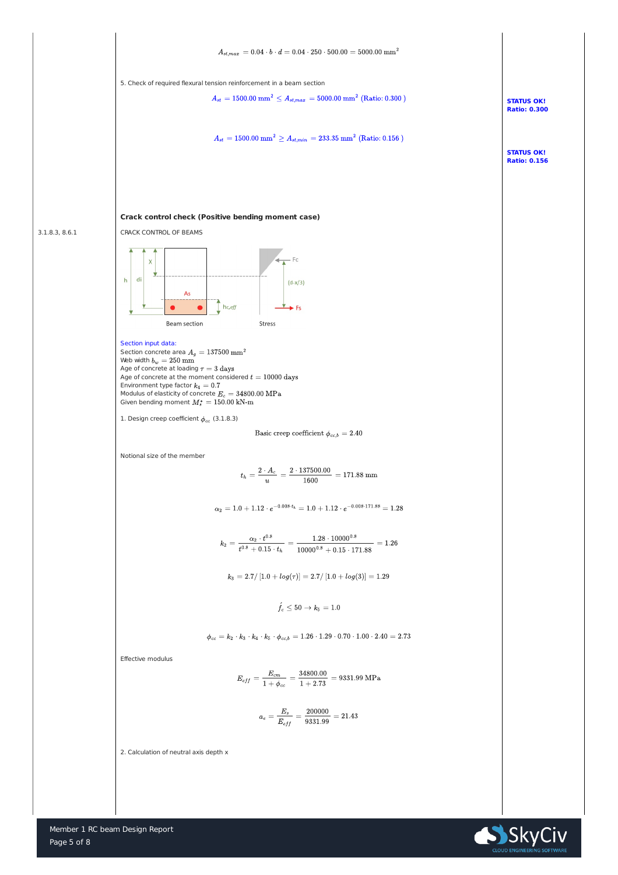



5. Check of required flexural tension reinforcement in a beam section

$$
A_{st} = 1500.00 \ \mathrm{mm}^2 \leq A_{st,max} = 5000.00 \ \mathrm{mm}^2 \ (\mathrm{Ratio: 0.300 \ })
$$

**STATUS OK!**

**Ratio: 0.300**

**STATUS OK! Ratio: 0.156**



3.1.8.3, 8.6.1



## **Crack control check (Positive bending moment case)**

CRACK CONTROL OF BEAMS

Section concrete area  $A_g = 137500$   $\text{mm}^2$ Web width  $b_w = 250$  mm Age of concrete at loading  $\tau=3~\rm{days}$ Age of concrete at the moment considered  $t=10000 \ \mathrm{days}$ Environment type factor  $k_4=0.7$ Modulus of elasticity of concrete  $E_c = 34800.00 \mathrm{~MPa}$ Given bending moment  $M_s^* = 150.00 \text{ kN-m}$ 

1. Design creep coefficient  $\phi_{cc}$  (3.1.8.3)

Basic creep coefficient 
$$
\phi_{cc,b} = 2.40
$$

## Section input data:

Notional size of the member

$$
t_h = \frac{2 \cdot A_c}{u} = \frac{2 \cdot 137500.00}{1600} = 171.88 \text{ mm}
$$

$$
\alpha_2 = 1.0 + 1.12 \cdot e^{-0.008 \cdot t_h} = 1.0 + 1.12 \cdot e^{-0.008 \cdot 171.88} = 1.28
$$

$$
k_2 = \frac{\alpha_2 \cdot t^{0.8}}{t^{0.8} + 0.15 \cdot t_h} = \frac{1.28 \cdot 10000^{0.8}}{10000^{0.8} + 0.15 \cdot 171.88} = 1.26
$$

$$
k_3 = 2.7/\left[1.0 + log(\tau)\right] = 2.7/\left[1.0 + log(3)\right] = 1.29
$$

 $\acute{f_c} \le 50 \rightarrow k_5 = 1.0$ 

$$
\phi_{cc} = k_2 \cdot k_3 \cdot k_4 \cdot k_5 \cdot \phi_{cc,b} = 1.26 \cdot 1.29 \cdot 0.70 \cdot 1.00 \cdot 2.40 = 2.73
$$

Effective modulus

$$
E_{eff} = \frac{E_{cm}}{1+\phi_{cc}} = \frac{34800.00}{1+2.73} = 9331.99 \text{ MPa}
$$

$$
a_e = \frac{E_s}{E_{eff}} = \frac{200000}{9331.99} = 21.43
$$

2. Calculation of neutral axis depth x

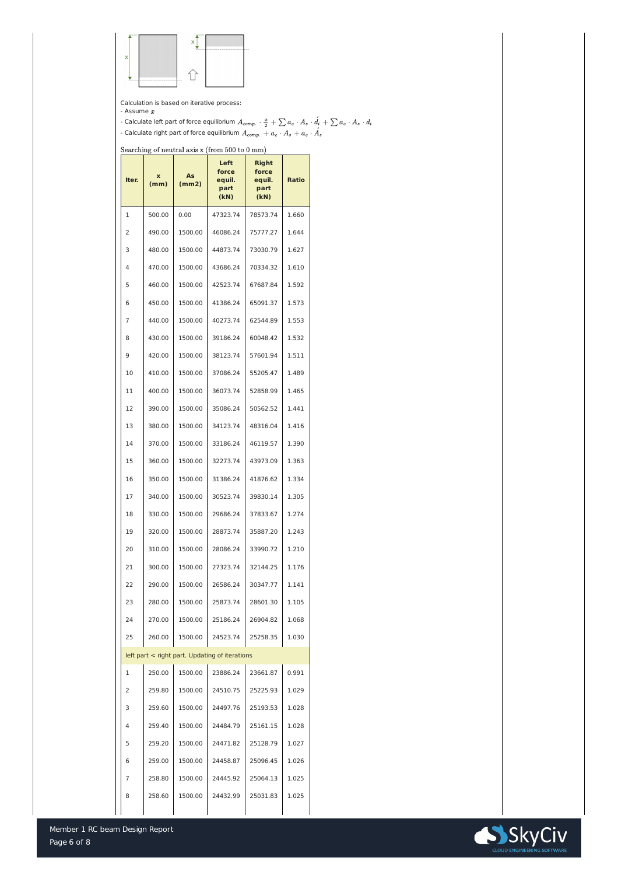



Calculation is based on iterative process:

- Assume  $x$ 

- Calculate left part of force equilibrium - Calculate right part of force equilibrium

 $Searching of neutral axis x (from 500 to 0 mm)$ </u>

| Iter.          | X<br>(mm) | <b>As</b><br>(mm2) | <b>Left</b><br>force<br>equil.<br>part<br>(kN) | <b>Right</b><br>force<br>equil.<br>part<br>(kN) | <b>Ratio</b> |
|----------------|-----------|--------------------|------------------------------------------------|-------------------------------------------------|--------------|
| $\mathbf{1}$   | 500.00    | 0.00               | 47323.74                                       | 78573.74                                        | 1.660        |
| $\overline{2}$ | 490.00    | 1500.00            | 46086.24                                       | 75777.27                                        | 1.644        |
| 3              | 480.00    | 1500.00            | 44873.74                                       | 73030.79                                        | 1.627        |
| 4              | 470.00    | 1500.00            | 43686.24                                       | 70334.32                                        | 1.610        |
| 5              | 460.00    | 1500.00            | 42523.74                                       | 67687.84                                        | 1.592        |
| 6              | 450.00    | 1500.00            | 41386.24                                       | 65091.37                                        | 1.573        |
| $\overline{7}$ | 440.00    | 1500.00            | 40273.74                                       | 62544.89                                        | 1.553        |
| 8              | 430.00    | 1500.00            | 39186.24                                       | 60048.42                                        | 1.532        |
| 9              | 420.00    | 1500.00            | 38123.74                                       | 57601.94                                        | 1.511        |
| 10             | 410.00    | 1500.00            | 37086.24                                       | 55205.47                                        | 1.489        |
| 11             | 400.00    | 1500.00            | 36073.74                                       | 52858.99                                        | 1.465        |
| 12             | 390.00    | 1500.00            | 35086.24                                       | 50562.52                                        | 1.441        |
| 13             | 380.00    | 1500.00            | 34123.74                                       | 48316.04                                        | 1.416        |
| 14             | 370.00    | 1500.00            | 33186.24                                       | 46119.57                                        | 1.390        |
| 15             | 360.00    | 1500.00            | 32273.74                                       | 43973.09                                        | 1.363        |
| 16             | 350.00    | 1500.00            | 31386.24                                       | 41876.62                                        | 1.334        |
| 17             | 340.00    | 1500.00            | 30523.74                                       | 39830.14                                        | 1.305        |
| 18             | 330.00    | 1500.00            | 29686.24                                       | 37833.67                                        | 1.274        |
| 19             | 320.00    | 1500.00            | 28873.74                                       | 35887.20                                        | 1.243        |
| 20             | 310.00    | 1500.00            | 28086.24                                       | 33990.72                                        | 1.210        |
| 21             | 300.00    | 1500.00            | 27323.74                                       | 32144.25                                        | 1.176        |
| 22             | 290.00    | 1500.00            | 26586.24                                       | 30347.77                                        | 1.141        |
| 23             | 280.00    | 1500.00            | 25873.74                                       | 28601.30                                        | 1.105        |
| 24             | 270.00    | 1500.00            | 25186.24                                       | 26904.82                                        | 1.068        |
| 25             | 260.00    | 1500.00            | 24523.74                                       | 25258.35                                        | 1.030        |
|                |           |                    | left part < right part. Updating of iterations |                                                 |              |
| $\mathbf{1}$   | 250.00    | 1500.00            | 23886.24                                       | 23661.87                                        | 0.991        |
| $\overline{2}$ | 259.80    | 1500.00            | 24510.75                                       | 25225.93                                        | 1.029        |
| 3              | 259.60    | 1500.00            | 24497.76                                       | 25193.53                                        | 1.028        |
| 4              | 259.40    | 1500.00            | 24484.79                                       | 25161.15                                        | 1.028        |
| 5              | 259.20    | 1500.00            | 24471.82                                       | 25128.79                                        | 1.027        |
| 6              | 259.00    | 1500.00            | 24458.87                                       | 25096.45                                        | 1.026        |
| 7              | 258.80    | 1500.00            | 24445.92                                       | 25064.13                                        | 1.025        |
| 8              | 258.60    | 1500.00            | 24432.99                                       | 25031.83                                        | 1.025        |
|                |           |                    |                                                |                                                 |              |

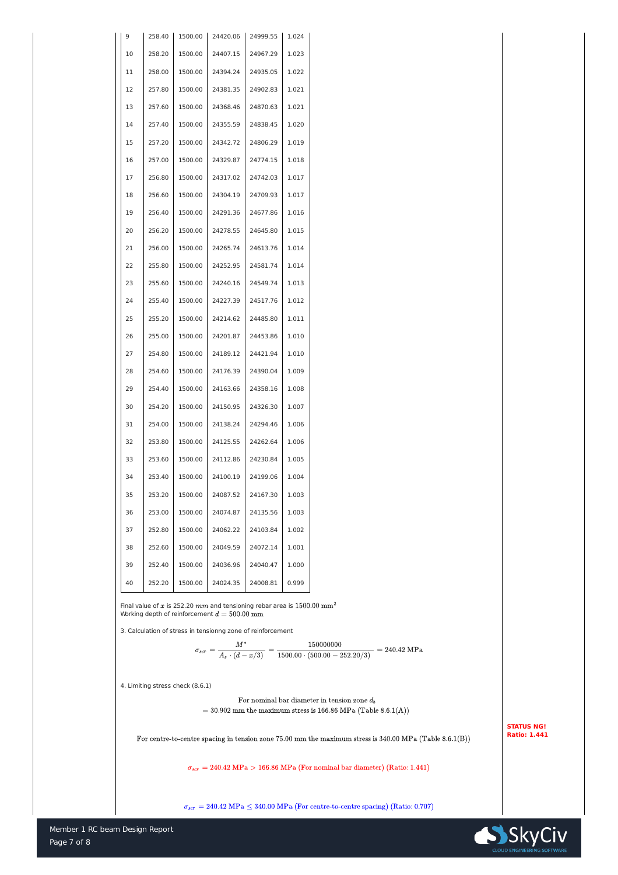

| 9  | 258.40 | 1500.00 | 24420.06 | 24999.55 | 1.024 |
|----|--------|---------|----------|----------|-------|
| 10 | 258.20 | 1500.00 | 24407.15 | 24967.29 | 1.023 |
| 11 | 258.00 | 1500.00 | 24394.24 | 24935.05 | 1.022 |
| 12 | 257.80 | 1500.00 | 24381.35 | 24902.83 | 1.021 |
| 13 | 257.60 | 1500.00 | 24368.46 | 24870.63 | 1.021 |
| 14 | 257.40 | 1500.00 | 24355.59 | 24838.45 | 1.020 |
| 15 | 257.20 | 1500.00 | 24342.72 | 24806.29 | 1.019 |
| 16 | 257.00 | 1500.00 | 24329.87 | 24774.15 | 1.018 |
| 17 | 256.80 | 1500.00 | 24317.02 | 24742.03 | 1.017 |
| 18 | 256.60 | 1500.00 | 24304.19 | 24709.93 | 1.017 |
| 19 | 256.40 | 1500.00 | 24291.36 | 24677.86 | 1.016 |
| 20 | 256.20 | 1500.00 | 24278.55 | 24645.80 | 1.015 |
| 21 | 256.00 | 1500.00 | 24265.74 | 24613.76 | 1.014 |
| 22 | 255.80 | 1500.00 | 24252.95 | 24581.74 | 1.014 |
| 23 | 255.60 | 1500.00 | 24240.16 | 24549.74 | 1.013 |
| 24 | 255.40 | 1500.00 | 24227.39 | 24517.76 | 1.012 |
| 25 | 255.20 | 1500.00 | 24214.62 | 24485.80 | 1.011 |
| 26 | 255.00 | 1500.00 | 24201.87 | 24453.86 | 1.010 |
| 27 | 254.80 | 1500.00 | 24189.12 | 24421.94 | 1.010 |
| 28 | 254.60 | 1500.00 | 24176.39 | 24390.04 | 1.009 |
| 29 | 254.40 | 1500.00 | 24163.66 | 24358.16 | 1.008 |
| 30 | 254.20 | 1500.00 | 24150.95 | 24326.30 | 1.007 |
| 31 | 254.00 | 1500.00 | 24138.24 | 24294.46 | 1.006 |
| 32 | 253.80 | 1500.00 | 24125.55 | 24262.64 | 1.006 |
| 33 | 253.60 | 1500.00 | 24112.86 | 24230.84 | 1.005 |
| 34 | 253.40 | 1500.00 | 24100.19 | 24199.06 | 1.004 |
| 35 | 253.20 | 1500.00 | 24087.52 | 24167.30 | 1.003 |
| 36 | 253.00 | 1500.00 | 24074.87 | 24135.56 | 1.003 |
| 37 | 252.80 | 1500.00 | 24062.22 | 24103.84 | 1.002 |
| 38 | 252.60 | 1500.00 | 24049.59 | 24072.14 | 1.001 |
| 39 | 252.40 | 1500.00 | 24036.96 | 24040.47 | 1.000 |
| 40 | 252.20 | 1500.00 | 24024.35 | 24008.81 | 0.999 |

Final value of x is 252.20  $mm$  and tensioning rebar area is  $1500.00$   $\text{mm}^2$ Working depth of reinforcement  $d = 500.00$  mm

3. Calculation of stress in tensionng zone of reinforcement

 $\sigma_{scr} = \frac{M^*}{A_s\cdot (d-x/3)} = \frac{150000000}{1500.00\cdot (500.00-252.20/3)} = 240.42~\text{MPa}$ 

4. Limiting stress check (8.6.1)

For nominal bar diameter in tension zone  $d_b$  $= 30.902$  mm the maximum stress is 166.86 MPa (Table 8.6.1(A))

For centre-to-centre spacing in tension zone  $75.00$  mm the maximum stress is  $340.00$  MPa (Table  $8.6.1(B)$ )

 $\sigma_{scr}=240.42~\mathrm{MPa}>166.86~\mathrm{MPa} \ \mathrm{(For\ nominal\ bar\ diameter)} \ \mathrm{(Ratio: 1.441)}$ 

 $\sigma_{scr} = 240.42 \text{ MPa} \leq 340.00 \text{ MPa}$  (For centre-to-centre spacing) (Ratio: 0.707)



**STATUS NG! Ratio: 1.441**